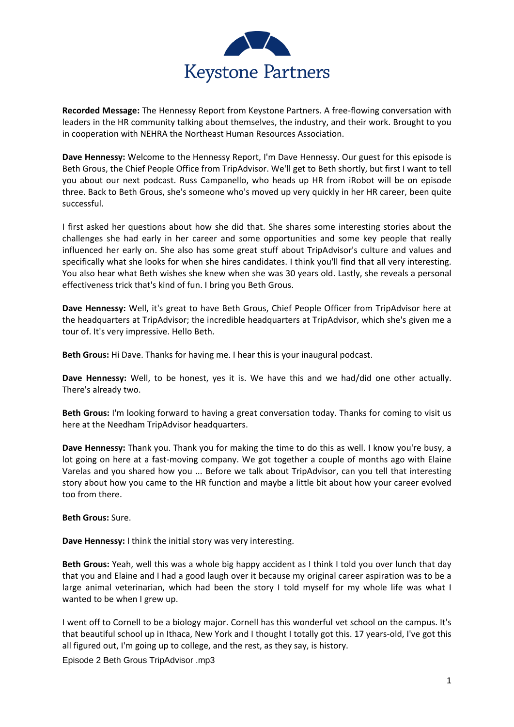

**Recorded Message:** The Hennessy Report from Keystone Partners. A free-flowing conversation with leaders in the HR community talking about themselves, the industry, and their work. Brought to you in cooperation with NEHRA the Northeast Human Resources Association.

**Dave Hennessy:** Welcome to the Hennessy Report, I'm Dave Hennessy. Our guest for this episode is Beth Grous, the Chief People Office from TripAdvisor. We'll get to Beth shortly, but first I want to tell you about our next podcast. Russ Campanello, who heads up HR from iRobot will be on episode three. Back to Beth Grous, she's someone who's moved up very quickly in her HR career, been quite successful.

I first asked her questions about how she did that. She shares some interesting stories about the challenges she had early in her career and some opportunities and some key people that really influenced her early on. She also has some great stuff about TripAdvisor's culture and values and specifically what she looks for when she hires candidates. I think you'll find that all very interesting. You also hear what Beth wishes she knew when she was 30 years old. Lastly, she reveals a personal effectiveness trick that's kind of fun. I bring you Beth Grous.

**Dave Hennessy:** Well, it's great to have Beth Grous, Chief People Officer from TripAdvisor here at the headquarters at TripAdvisor; the incredible headquarters at TripAdvisor, which she's given me a tour of. It's very impressive. Hello Beth.

**Beth Grous:** Hi Dave. Thanks for having me. I hear this is your inaugural podcast.

**Dave Hennessy:** Well, to be honest, yes it is. We have this and we had/did one other actually. There's already two.

**Beth Grous:** I'm looking forward to having a great conversation today. Thanks for coming to visit us here at the Needham TripAdvisor headquarters.

**Dave Hennessy:** Thank you. Thank you for making the time to do this as well. I know you're busy, a lot going on here at a fast-moving company. We got together a couple of months ago with Elaine Varelas and you shared how you ... Before we talk about TripAdvisor, can you tell that interesting story about how you came to the HR function and maybe a little bit about how your career evolved too from there.

**Beth Grous:** Sure.

**Dave Hennessy:** I think the initial story was very interesting.

**Beth Grous:** Yeah, well this was a whole big happy accident as I think I told you over lunch that day that you and Elaine and I had a good laugh over it because my original career aspiration was to be a large animal veterinarian, which had been the story I told myself for my whole life was what I wanted to be when I grew up.

I went off to Cornell to be a biology major. Cornell has this wonderful vet school on the campus. It's that beautiful school up in Ithaca, New York and I thought I totally got this. 17 years-old, I've got this all figured out, I'm going up to college, and the rest, as they say, is history.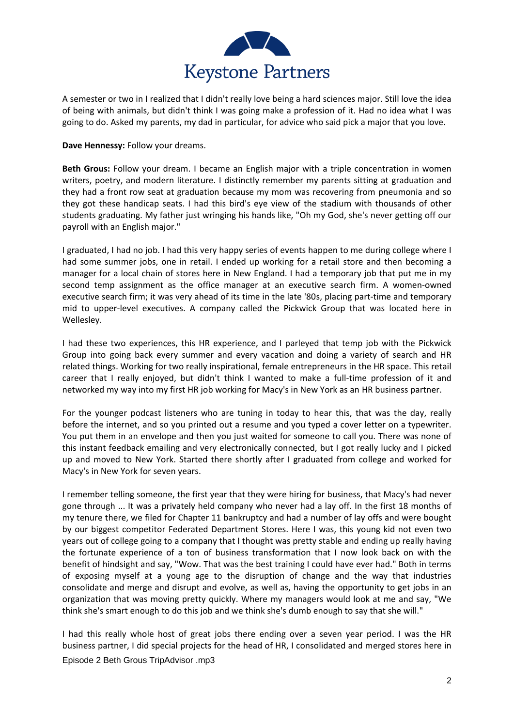

A semester or two in I realized that I didn't really love being a hard sciences major. Still love the idea of being with animals, but didn't think I was going make a profession of it. Had no idea what I was going to do. Asked my parents, my dad in particular, for advice who said pick a major that you love.

**Dave Hennessy:** Follow your dreams.

**Beth Grous:** Follow your dream. I became an English major with a triple concentration in women writers, poetry, and modern literature. I distinctly remember my parents sitting at graduation and they had a front row seat at graduation because my mom was recovering from pneumonia and so they got these handicap seats. I had this bird's eye view of the stadium with thousands of other students graduating. My father just wringing his hands like, "Oh my God, she's never getting off our payroll with an English major."

I graduated, I had no job. I had this very happy series of events happen to me during college where I had some summer jobs, one in retail. I ended up working for a retail store and then becoming a manager for a local chain of stores here in New England. I had a temporary job that put me in my second temp assignment as the office manager at an executive search firm. A women-owned executive search firm; it was very ahead of its time in the late '80s, placing part-time and temporary mid to upper-level executives. A company called the Pickwick Group that was located here in Wellesley.

I had these two experiences, this HR experience, and I parleyed that temp job with the Pickwick Group into going back every summer and every vacation and doing a variety of search and HR related things. Working for two really inspirational, female entrepreneurs in the HR space. This retail career that I really enjoyed, but didn't think I wanted to make a full-time profession of it and networked my way into my first HR job working for Macy's in New York as an HR business partner.

For the younger podcast listeners who are tuning in today to hear this, that was the day, really before the internet, and so you printed out a resume and you typed a cover letter on a typewriter. You put them in an envelope and then you just waited for someone to call you. There was none of this instant feedback emailing and very electronically connected, but I got really lucky and I picked up and moved to New York. Started there shortly after I graduated from college and worked for Macy's in New York for seven years.

I remember telling someone, the first year that they were hiring for business, that Macy's had never gone through ... It was a privately held company who never had a lay off. In the first 18 months of my tenure there, we filed for Chapter 11 bankruptcy and had a number of lay offs and were bought by our biggest competitor Federated Department Stores. Here I was, this young kid not even two years out of college going to a company that I thought was pretty stable and ending up really having the fortunate experience of a ton of business transformation that I now look back on with the benefit of hindsight and say, "Wow. That was the best training I could have ever had." Both in terms of exposing myself at a young age to the disruption of change and the way that industries consolidate and merge and disrupt and evolve, as well as, having the opportunity to get jobs in an organization that was moving pretty quickly. Where my managers would look at me and say, "We think she's smart enough to do this job and we think she's dumb enough to say that she will."

Episode 2 Beth Grous TripAdvisor .mp3 I had this really whole host of great jobs there ending over a seven year period. I was the HR business partner, I did special projects for the head of HR, I consolidated and merged stores here in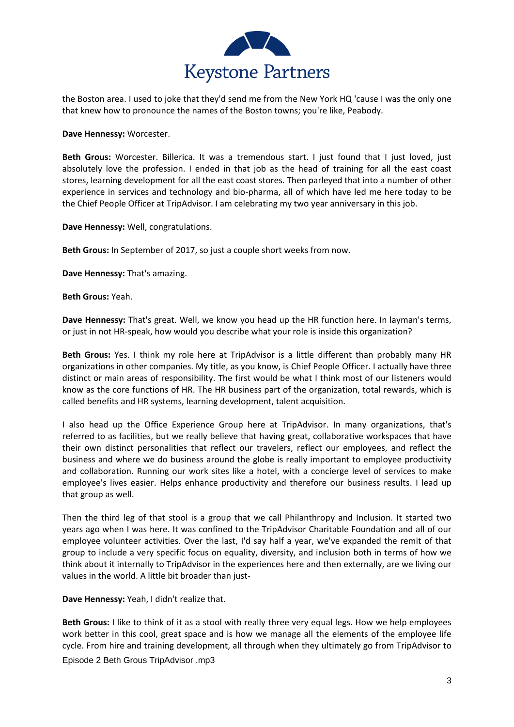

the Boston area. I used to joke that they'd send me from the New York HQ 'cause I was the only one that knew how to pronounce the names of the Boston towns; you're like, Peabody.

**Dave Hennessy:** Worcester.

**Beth Grous:** Worcester. Billerica. It was a tremendous start. I just found that I just loved, just absolutely love the profession. I ended in that job as the head of training for all the east coast stores, learning development for all the east coast stores. Then parleyed that into a number of other experience in services and technology and bio-pharma, all of which have led me here today to be the Chief People Officer at TripAdvisor. I am celebrating my two year anniversary in this job.

**Dave Hennessy:** Well, congratulations.

**Beth Grous:** In September of 2017, so just a couple short weeks from now.

**Dave Hennessy:** That's amazing.

**Beth Grous:** Yeah.

**Dave Hennessy:** That's great. Well, we know you head up the HR function here. In layman's terms, or just in not HR-speak, how would you describe what your role is inside this organization?

**Beth Grous:** Yes. I think my role here at TripAdvisor is a little different than probably many HR organizations in other companies. My title, as you know, is Chief People Officer. I actually have three distinct or main areas of responsibility. The first would be what I think most of our listeners would know as the core functions of HR. The HR business part of the organization, total rewards, which is called benefits and HR systems, learning development, talent acquisition.

I also head up the Office Experience Group here at TripAdvisor. In many organizations, that's referred to as facilities, but we really believe that having great, collaborative workspaces that have their own distinct personalities that reflect our travelers, reflect our employees, and reflect the business and where we do business around the globe is really important to employee productivity and collaboration. Running our work sites like a hotel, with a concierge level of services to make employee's lives easier. Helps enhance productivity and therefore our business results. I lead up that group as well.

Then the third leg of that stool is a group that we call Philanthropy and Inclusion. It started two years ago when I was here. It was confined to the TripAdvisor Charitable Foundation and all of our employee volunteer activities. Over the last, I'd say half a year, we've expanded the remit of that group to include a very specific focus on equality, diversity, and inclusion both in terms of how we think about it internally to TripAdvisor in the experiences here and then externally, are we living our values in the world. A little bit broader than just-

**Dave Hennessy:** Yeah, I didn't realize that.

Episode 2 Beth Grous TripAdvisor .mp3 **Beth Grous:** I like to think of it as a stool with really three very equal legs. How we help employees work better in this cool, great space and is how we manage all the elements of the employee life cycle. From hire and training development, all through when they ultimately go from TripAdvisor to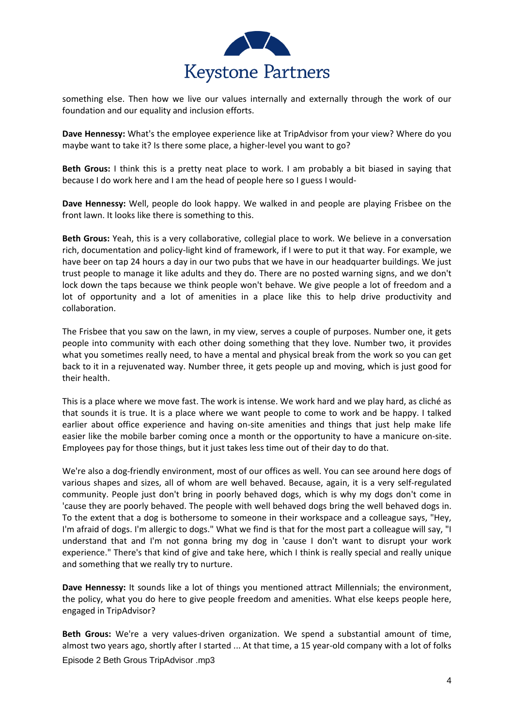

something else. Then how we live our values internally and externally through the work of our foundation and our equality and inclusion efforts.

**Dave Hennessy:** What's the employee experience like at TripAdvisor from your view? Where do you maybe want to take it? Is there some place, a higher-level you want to go?

**Beth Grous:** I think this is a pretty neat place to work. I am probably a bit biased in saying that because I do work here and I am the head of people here so I guess I would-

**Dave Hennessy:** Well, people do look happy. We walked in and people are playing Frisbee on the front lawn. It looks like there is something to this.

**Beth Grous:** Yeah, this is a very collaborative, collegial place to work. We believe in a conversation rich, documentation and policy-light kind of framework, if I were to put it that way. For example, we have beer on tap 24 hours a day in our two pubs that we have in our headquarter buildings. We just trust people to manage it like adults and they do. There are no posted warning signs, and we don't lock down the taps because we think people won't behave. We give people a lot of freedom and a lot of opportunity and a lot of amenities in a place like this to help drive productivity and collaboration.

The Frisbee that you saw on the lawn, in my view, serves a couple of purposes. Number one, it gets people into community with each other doing something that they love. Number two, it provides what you sometimes really need, to have a mental and physical break from the work so you can get back to it in a rejuvenated way. Number three, it gets people up and moving, which is just good for their health.

This is a place where we move fast. The work is intense. We work hard and we play hard, as cliché as that sounds it is true. It is a place where we want people to come to work and be happy. I talked earlier about office experience and having on-site amenities and things that just help make life easier like the mobile barber coming once a month or the opportunity to have a manicure on-site. Employees pay for those things, but it just takes less time out of their day to do that.

We're also a dog-friendly environment, most of our offices as well. You can see around here dogs of various shapes and sizes, all of whom are well behaved. Because, again, it is a very self-regulated community. People just don't bring in poorly behaved dogs, which is why my dogs don't come in 'cause they are poorly behaved. The people with well behaved dogs bring the well behaved dogs in. To the extent that a dog is bothersome to someone in their workspace and a colleague says, "Hey, I'm afraid of dogs. I'm allergic to dogs." What we find is that for the most part a colleague will say, "I understand that and I'm not gonna bring my dog in 'cause I don't want to disrupt your work experience." There's that kind of give and take here, which I think is really special and really unique and something that we really try to nurture.

**Dave Hennessy:** It sounds like a lot of things you mentioned attract Millennials; the environment, the policy, what you do here to give people freedom and amenities. What else keeps people here, engaged in TripAdvisor?

Episode 2 Beth Grous TripAdvisor .mp3 **Beth Grous:** We're a very values-driven organization. We spend a substantial amount of time, almost two years ago, shortly after I started ... At that time, a 15 year-old company with a lot of folks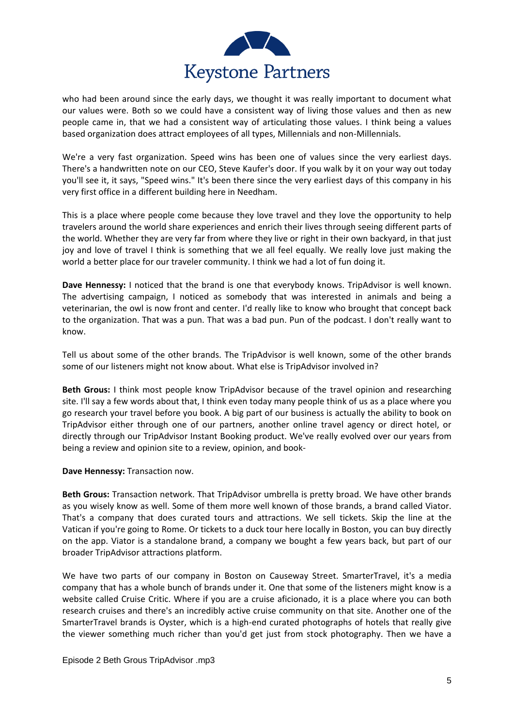

who had been around since the early days, we thought it was really important to document what our values were. Both so we could have a consistent way of living those values and then as new people came in, that we had a consistent way of articulating those values. I think being a values based organization does attract employees of all types, Millennials and non-Millennials.

We're a very fast organization. Speed wins has been one of values since the very earliest days. There's a handwritten note on our CEO, Steve Kaufer's door. If you walk by it on your way out today you'll see it, it says, "Speed wins." It's been there since the very earliest days of this company in his very first office in a different building here in Needham.

This is a place where people come because they love travel and they love the opportunity to help travelers around the world share experiences and enrich their lives through seeing different parts of the world. Whether they are very far from where they live or right in their own backyard, in that just joy and love of travel I think is something that we all feel equally. We really love just making the world a better place for our traveler community. I think we had a lot of fun doing it.

**Dave Hennessy:** I noticed that the brand is one that everybody knows. TripAdvisor is well known. The advertising campaign, I noticed as somebody that was interested in animals and being a veterinarian, the owl is now front and center. I'd really like to know who brought that concept back to the organization. That was a pun. That was a bad pun. Pun of the podcast. I don't really want to know.

Tell us about some of the other brands. The TripAdvisor is well known, some of the other brands some of our listeners might not know about. What else is TripAdvisor involved in?

**Beth Grous:** I think most people know TripAdvisor because of the travel opinion and researching site. I'll say a few words about that, I think even today many people think of us as a place where you go research your travel before you book. A big part of our business is actually the ability to book on TripAdvisor either through one of our partners, another online travel agency or direct hotel, or directly through our TripAdvisor Instant Booking product. We've really evolved over our years from being a review and opinion site to a review, opinion, and book-

**Dave Hennessy:** Transaction now.

**Beth Grous:** Transaction network. That TripAdvisor umbrella is pretty broad. We have other brands as you wisely know as well. Some of them more well known of those brands, a brand called Viator. That's a company that does curated tours and attractions. We sell tickets. Skip the line at the Vatican if you're going to Rome. Or tickets to a duck tour here locally in Boston, you can buy directly on the app. Viator is a standalone brand, a company we bought a few years back, but part of our broader TripAdvisor attractions platform.

We have two parts of our company in Boston on Causeway Street. SmarterTravel, it's a media company that has a whole bunch of brands under it. One that some of the listeners might know is a website called Cruise Critic. Where if you are a cruise aficionado, it is a place where you can both research cruises and there's an incredibly active cruise community on that site. Another one of the SmarterTravel brands is Oyster, which is a high-end curated photographs of hotels that really give the viewer something much richer than you'd get just from stock photography. Then we have a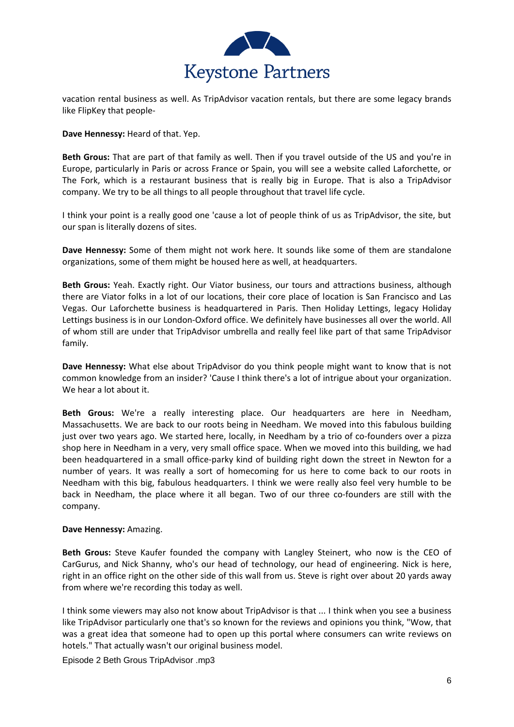

vacation rental business as well. As TripAdvisor vacation rentals, but there are some legacy brands like FlipKey that people-

**Dave Hennessy:** Heard of that. Yep.

**Beth Grous:** That are part of that family as well. Then if you travel outside of the US and you're in Europe, particularly in Paris or across France or Spain, you will see a website called Laforchette, or The Fork, which is a restaurant business that is really big in Europe. That is also a TripAdvisor company. We try to be all things to all people throughout that travel life cycle.

I think your point is a really good one 'cause a lot of people think of us as TripAdvisor, the site, but our span is literally dozens of sites.

**Dave Hennessy:** Some of them might not work here. It sounds like some of them are standalone organizations, some of them might be housed here as well, at headquarters.

**Beth Grous:** Yeah. Exactly right. Our Viator business, our tours and attractions business, although there are Viator folks in a lot of our locations, their core place of location is San Francisco and Las Vegas. Our Laforchette business is headquartered in Paris. Then Holiday Lettings, legacy Holiday Lettings business is in our London-Oxford office. We definitely have businesses all over the world. All of whom still are under that TripAdvisor umbrella and really feel like part of that same TripAdvisor family.

**Dave Hennessy:** What else about TripAdvisor do you think people might want to know that is not common knowledge from an insider? 'Cause I think there's a lot of intrigue about your organization. We hear a lot about it.

**Beth Grous:** We're a really interesting place. Our headquarters are here in Needham, Massachusetts. We are back to our roots being in Needham. We moved into this fabulous building just over two years ago. We started here, locally, in Needham by a trio of co-founders over a pizza shop here in Needham in a very, very small office space. When we moved into this building, we had been headquartered in a small office-parky kind of building right down the street in Newton for a number of years. It was really a sort of homecoming for us here to come back to our roots in Needham with this big, fabulous headquarters. I think we were really also feel very humble to be back in Needham, the place where it all began. Two of our three co-founders are still with the company.

## **Dave Hennessy:** Amazing.

**Beth Grous:** Steve Kaufer founded the company with Langley Steinert, who now is the CEO of CarGurus, and Nick Shanny, who's our head of technology, our head of engineering. Nick is here, right in an office right on the other side of this wall from us. Steve is right over about 20 yards away from where we're recording this today as well.

I think some viewers may also not know about TripAdvisor is that ... I think when you see a business like TripAdvisor particularly one that's so known for the reviews and opinions you think, "Wow, that was a great idea that someone had to open up this portal where consumers can write reviews on hotels." That actually wasn't our original business model.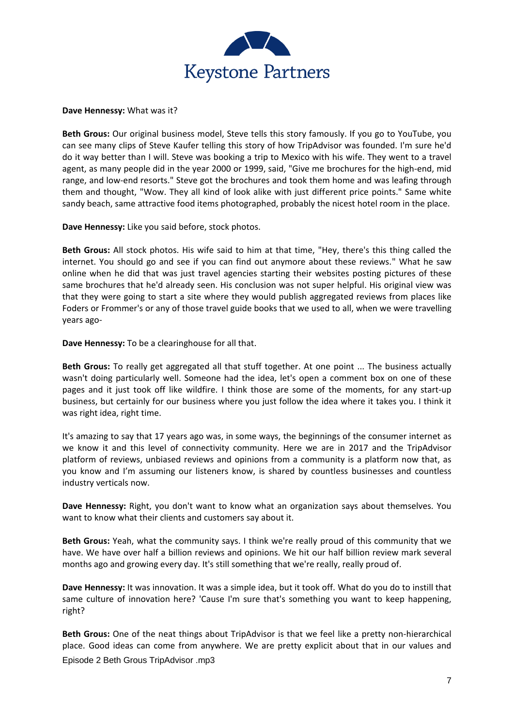

**Dave Hennessy:** What was it?

**Beth Grous:** Our original business model, Steve tells this story famously. If you go to YouTube, you can see many clips of Steve Kaufer telling this story of how TripAdvisor was founded. I'm sure he'd do it way better than I will. Steve was booking a trip to Mexico with his wife. They went to a travel agent, as many people did in the year 2000 or 1999, said, "Give me brochures for the high-end, mid range, and low-end resorts." Steve got the brochures and took them home and was leafing through them and thought, "Wow. They all kind of look alike with just different price points." Same white sandy beach, same attractive food items photographed, probably the nicest hotel room in the place.

**Dave Hennessy:** Like you said before, stock photos.

**Beth Grous:** All stock photos. His wife said to him at that time, "Hey, there's this thing called the internet. You should go and see if you can find out anymore about these reviews." What he saw online when he did that was just travel agencies starting their websites posting pictures of these same brochures that he'd already seen. His conclusion was not super helpful. His original view was that they were going to start a site where they would publish aggregated reviews from places like Foders or Frommer's or any of those travel guide books that we used to all, when we were travelling years ago-

**Dave Hennessy:** To be a clearinghouse for all that.

**Beth Grous:** To really get aggregated all that stuff together. At one point ... The business actually wasn't doing particularly well. Someone had the idea, let's open a comment box on one of these pages and it just took off like wildfire. I think those are some of the moments, for any start-up business, but certainly for our business where you just follow the idea where it takes you. I think it was right idea, right time.

It's amazing to say that 17 years ago was, in some ways, the beginnings of the consumer internet as we know it and this level of connectivity community. Here we are in 2017 and the TripAdvisor platform of reviews, unbiased reviews and opinions from a community is a platform now that, as you know and I'm assuming our listeners know, is shared by countless businesses and countless industry verticals now.

**Dave Hennessy:** Right, you don't want to know what an organization says about themselves. You want to know what their clients and customers say about it.

**Beth Grous:** Yeah, what the community says. I think we're really proud of this community that we have. We have over half a billion reviews and opinions. We hit our half billion review mark several months ago and growing every day. It's still something that we're really, really proud of.

**Dave Hennessy:** It was innovation. It was a simple idea, but it took off. What do you do to instill that same culture of innovation here? 'Cause I'm sure that's something you want to keep happening, right?

Episode 2 Beth Grous TripAdvisor .mp3 **Beth Grous:** One of the neat things about TripAdvisor is that we feel like a pretty non-hierarchical place. Good ideas can come from anywhere. We are pretty explicit about that in our values and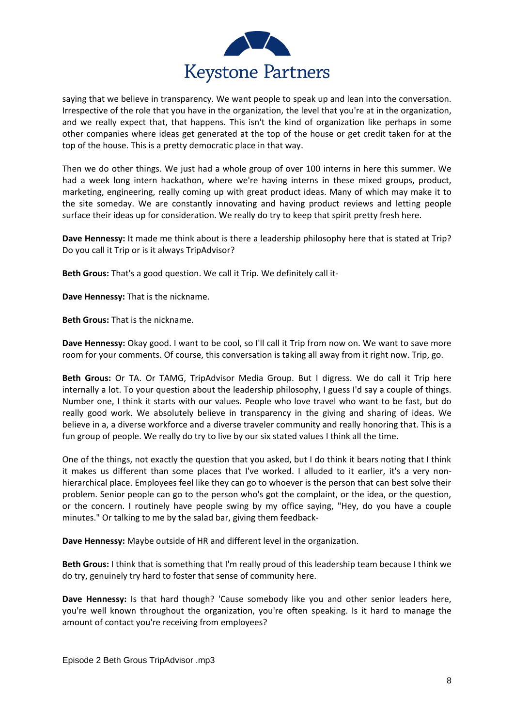

saying that we believe in transparency. We want people to speak up and lean into the conversation. Irrespective of the role that you have in the organization, the level that you're at in the organization, and we really expect that, that happens. This isn't the kind of organization like perhaps in some other companies where ideas get generated at the top of the house or get credit taken for at the top of the house. This is a pretty democratic place in that way.

Then we do other things. We just had a whole group of over 100 interns in here this summer. We had a week long intern hackathon, where we're having interns in these mixed groups, product, marketing, engineering, really coming up with great product ideas. Many of which may make it to the site someday. We are constantly innovating and having product reviews and letting people surface their ideas up for consideration. We really do try to keep that spirit pretty fresh here.

**Dave Hennessy:** It made me think about is there a leadership philosophy here that is stated at Trip? Do you call it Trip or is it always TripAdvisor?

**Beth Grous:** That's a good question. We call it Trip. We definitely call it-

**Dave Hennessy:** That is the nickname.

**Beth Grous:** That is the nickname.

**Dave Hennessy:** Okay good. I want to be cool, so I'll call it Trip from now on. We want to save more room for your comments. Of course, this conversation is taking all away from it right now. Trip, go.

**Beth Grous:** Or TA. Or TAMG, TripAdvisor Media Group. But I digress. We do call it Trip here internally a lot. To your question about the leadership philosophy, I guess I'd say a couple of things. Number one, I think it starts with our values. People who love travel who want to be fast, but do really good work. We absolutely believe in transparency in the giving and sharing of ideas. We believe in a, a diverse workforce and a diverse traveler community and really honoring that. This is a fun group of people. We really do try to live by our six stated values I think all the time.

One of the things, not exactly the question that you asked, but I do think it bears noting that I think it makes us different than some places that I've worked. I alluded to it earlier, it's a very nonhierarchical place. Employees feel like they can go to whoever is the person that can best solve their problem. Senior people can go to the person who's got the complaint, or the idea, or the question, or the concern. I routinely have people swing by my office saying, "Hey, do you have a couple minutes." Or talking to me by the salad bar, giving them feedback-

**Dave Hennessy:** Maybe outside of HR and different level in the organization.

**Beth Grous:** I think that is something that I'm really proud of this leadership team because I think we do try, genuinely try hard to foster that sense of community here.

**Dave Hennessy:** Is that hard though? 'Cause somebody like you and other senior leaders here, you're well known throughout the organization, you're often speaking. Is it hard to manage the amount of contact you're receiving from employees?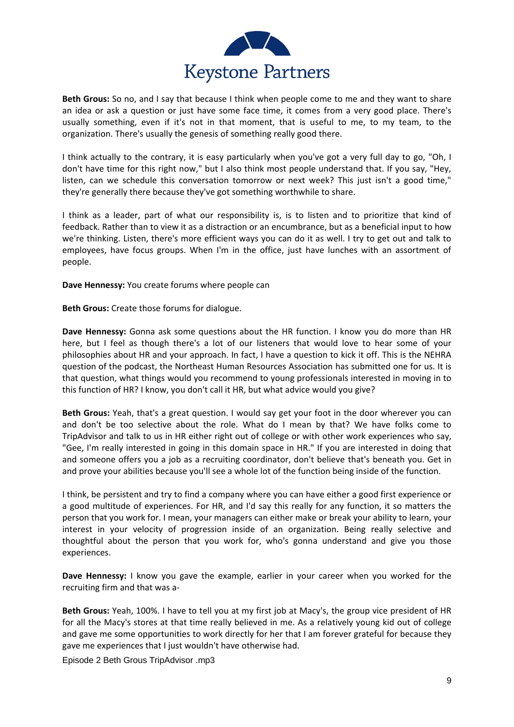

**Beth Grous:** So no, and I say that because I think when people come to me and they want to share an idea or ask a question or just have some face time, it comes from a very good place. There's usually something, even if it's not in that moment, that is useful to me, to my team, to the organization. There's usually the genesis of something really good there.

I think actually to the contrary, it is easy particularly when you've got a very full day to go, "Oh, I don't have time for this right now," but I also think most people understand that. If you say, "Hey, listen, can we schedule this conversation tomorrow or next week? This just isn't a good time," they're generally there because they've got something worthwhile to share.

I think as a leader, part of what our responsibility is, is to listen and to prioritize that kind of feedback. Rather than to view it as a distraction or an encumbrance, but as a beneficial input to how we're thinking. Listen, there's more efficient ways you can do it as well. I try to get out and talk to employees, have focus groups. When I'm in the office, just have lunches with an assortment of people.

**Dave Hennessy:** You create forums where people can

**Beth Grous:** Create those forums for dialogue.

**Dave Hennessy:** Gonna ask some questions about the HR function. I know you do more than HR here, but I feel as though there's a lot of our listeners that would love to hear some of your philosophies about HR and your approach. In fact, I have a question to kick it off. This is the NEHRA question of the podcast, the Northeast Human Resources Association has submitted one for us. It is that question, what things would you recommend to young professionals interested in moving in to this function of HR? I know, you don't call it HR, but what advice would you give?

**Beth Grous:** Yeah, that's a great question. I would say get your foot in the door wherever you can and don't be too selective about the role. What do I mean by that? We have folks come to TripAdvisor and talk to us in HR either right out of college or with other work experiences who say, "Gee, I'm really interested in going in this domain space in HR." If you are interested in doing that and someone offers you a job as a recruiting coordinator, don't believe that's beneath you. Get in and prove your abilities because you'll see a whole lot of the function being inside of the function.

I think, be persistent and try to find a company where you can have either a good first experience or a good multitude of experiences. For HR, and I'd say this really for any function, it so matters the person that you work for. I mean, your managers can either make or break your ability to learn, your interest in your velocity of progression inside of an organization. Being really selective and thoughtful about the person that you work for, who's gonna understand and give you those experiences.

**Dave Hennessy:** I know you gave the example, earlier in your career when you worked for the recruiting firm and that was a-

**Beth Grous:** Yeah, 100%. I have to tell you at my first job at Macy's, the group vice president of HR for all the Macy's stores at that time really believed in me. As a relatively young kid out of college and gave me some opportunities to work directly for her that I am forever grateful for because they gave me experiences that I just wouldn't have otherwise had.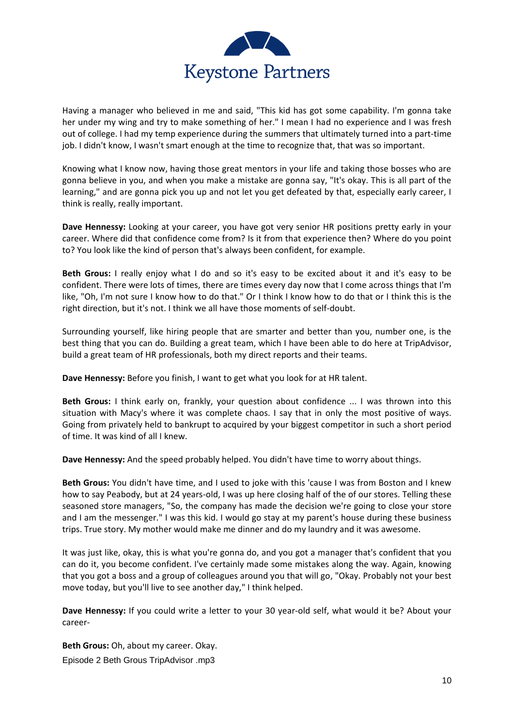

Having a manager who believed in me and said, "This kid has got some capability. I'm gonna take her under my wing and try to make something of her." I mean I had no experience and I was fresh out of college. I had my temp experience during the summers that ultimately turned into a part-time job. I didn't know, I wasn't smart enough at the time to recognize that, that was so important.

Knowing what I know now, having those great mentors in your life and taking those bosses who are gonna believe in you, and when you make a mistake are gonna say, "It's okay. This is all part of the learning," and are gonna pick you up and not let you get defeated by that, especially early career, I think is really, really important.

**Dave Hennessy:** Looking at your career, you have got very senior HR positions pretty early in your career. Where did that confidence come from? Is it from that experience then? Where do you point to? You look like the kind of person that's always been confident, for example.

**Beth Grous:** I really enjoy what I do and so it's easy to be excited about it and it's easy to be confident. There were lots of times, there are times every day now that I come across things that I'm like, "Oh, I'm not sure I know how to do that." Or I think I know how to do that or I think this is the right direction, but it's not. I think we all have those moments of self-doubt.

Surrounding yourself, like hiring people that are smarter and better than you, number one, is the best thing that you can do. Building a great team, which I have been able to do here at TripAdvisor, build a great team of HR professionals, both my direct reports and their teams.

**Dave Hennessy:** Before you finish, I want to get what you look for at HR talent.

**Beth Grous:** I think early on, frankly, your question about confidence ... I was thrown into this situation with Macy's where it was complete chaos. I say that in only the most positive of ways. Going from privately held to bankrupt to acquired by your biggest competitor in such a short period of time. It was kind of all I knew.

**Dave Hennessy:** And the speed probably helped. You didn't have time to worry about things.

**Beth Grous:** You didn't have time, and I used to joke with this 'cause I was from Boston and I knew how to say Peabody, but at 24 years-old, I was up here closing half of the of our stores. Telling these seasoned store managers, "So, the company has made the decision we're going to close your store and I am the messenger." I was this kid. I would go stay at my parent's house during these business trips. True story. My mother would make me dinner and do my laundry and it was awesome.

It was just like, okay, this is what you're gonna do, and you got a manager that's confident that you can do it, you become confident. I've certainly made some mistakes along the way. Again, knowing that you got a boss and a group of colleagues around you that will go, "Okay. Probably not your best move today, but you'll live to see another day," I think helped.

**Dave Hennessy:** If you could write a letter to your 30 year-old self, what would it be? About your career-

Episode 2 Beth Grous TripAdvisor .mp3 **Beth Grous:** Oh, about my career. Okay.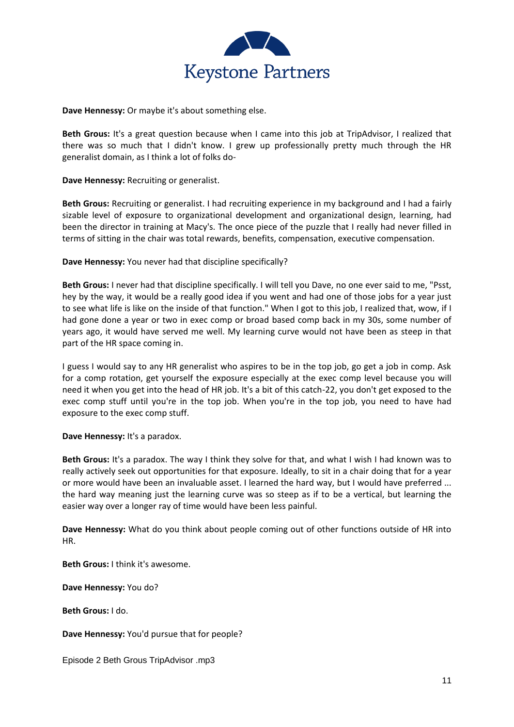

**Dave Hennessy:** Or maybe it's about something else.

**Beth Grous:** It's a great question because when I came into this job at TripAdvisor, I realized that there was so much that I didn't know. I grew up professionally pretty much through the HR generalist domain, as I think a lot of folks do-

**Dave Hennessy:** Recruiting or generalist.

**Beth Grous:** Recruiting or generalist. I had recruiting experience in my background and I had a fairly sizable level of exposure to organizational development and organizational design, learning, had been the director in training at Macy's. The once piece of the puzzle that I really had never filled in terms of sitting in the chair was total rewards, benefits, compensation, executive compensation.

**Dave Hennessy:** You never had that discipline specifically?

**Beth Grous:** I never had that discipline specifically. I will tell you Dave, no one ever said to me, "Psst, hey by the way, it would be a really good idea if you went and had one of those jobs for a year just to see what life is like on the inside of that function." When I got to this job, I realized that, wow, if I had gone done a year or two in exec comp or broad based comp back in my 30s, some number of years ago, it would have served me well. My learning curve would not have been as steep in that part of the HR space coming in.

I guess I would say to any HR generalist who aspires to be in the top job, go get a job in comp. Ask for a comp rotation, get yourself the exposure especially at the exec comp level because you will need it when you get into the head of HR job. It's a bit of this catch-22, you don't get exposed to the exec comp stuff until you're in the top job. When you're in the top job, you need to have had exposure to the exec comp stuff.

**Dave Hennessy:** It's a paradox.

**Beth Grous:** It's a paradox. The way I think they solve for that, and what I wish I had known was to really actively seek out opportunities for that exposure. Ideally, to sit in a chair doing that for a year or more would have been an invaluable asset. I learned the hard way, but I would have preferred ... the hard way meaning just the learning curve was so steep as if to be a vertical, but learning the easier way over a longer ray of time would have been less painful.

**Dave Hennessy:** What do you think about people coming out of other functions outside of HR into HR.

**Beth Grous:** I think it's awesome.

**Dave Hennessy:** You do?

**Beth Grous:** I do.

**Dave Hennessy:** You'd pursue that for people?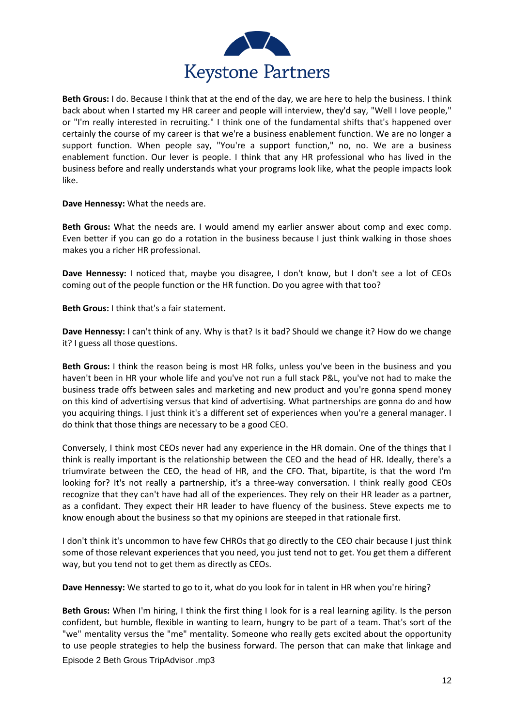

**Beth Grous:** I do. Because I think that at the end of the day, we are here to help the business. I think back about when I started my HR career and people will interview, they'd say, "Well I love people," or "I'm really interested in recruiting." I think one of the fundamental shifts that's happened over certainly the course of my career is that we're a business enablement function. We are no longer a support function. When people say, "You're a support function," no, no. We are a business enablement function. Our lever is people. I think that any HR professional who has lived in the business before and really understands what your programs look like, what the people impacts look like.

**Dave Hennessy:** What the needs are.

**Beth Grous:** What the needs are. I would amend my earlier answer about comp and exec comp. Even better if you can go do a rotation in the business because I just think walking in those shoes makes you a richer HR professional.

**Dave Hennessy:** I noticed that, maybe you disagree, I don't know, but I don't see a lot of CEOs coming out of the people function or the HR function. Do you agree with that too?

**Beth Grous:** I think that's a fair statement.

**Dave Hennessy:** I can't think of any. Why is that? Is it bad? Should we change it? How do we change it? I guess all those questions.

**Beth Grous:** I think the reason being is most HR folks, unless you've been in the business and you haven't been in HR your whole life and you've not run a full stack P&L, you've not had to make the business trade offs between sales and marketing and new product and you're gonna spend money on this kind of advertising versus that kind of advertising. What partnerships are gonna do and how you acquiring things. I just think it's a different set of experiences when you're a general manager. I do think that those things are necessary to be a good CEO.

Conversely, I think most CEOs never had any experience in the HR domain. One of the things that I think is really important is the relationship between the CEO and the head of HR. Ideally, there's a triumvirate between the CEO, the head of HR, and the CFO. That, bipartite, is that the word I'm looking for? It's not really a partnership, it's a three-way conversation. I think really good CEOs recognize that they can't have had all of the experiences. They rely on their HR leader as a partner, as a confidant. They expect their HR leader to have fluency of the business. Steve expects me to know enough about the business so that my opinions are steeped in that rationale first.

I don't think it's uncommon to have few CHROs that go directly to the CEO chair because I just think some of those relevant experiences that you need, you just tend not to get. You get them a different way, but you tend not to get them as directly as CEOs.

**Dave Hennessy:** We started to go to it, what do you look for in talent in HR when you're hiring?

Episode 2 Beth Grous TripAdvisor .mp3 **Beth Grous:** When I'm hiring, I think the first thing I look for is a real learning agility. Is the person confident, but humble, flexible in wanting to learn, hungry to be part of a team. That's sort of the "we" mentality versus the "me" mentality. Someone who really gets excited about the opportunity to use people strategies to help the business forward. The person that can make that linkage and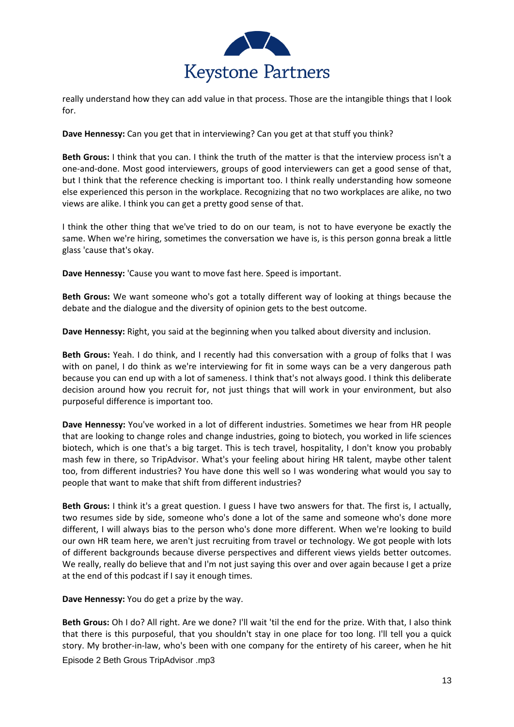

really understand how they can add value in that process. Those are the intangible things that I look for.

**Dave Hennessy:** Can you get that in interviewing? Can you get at that stuff you think?

**Beth Grous:** I think that you can. I think the truth of the matter is that the interview process isn't a one-and-done. Most good interviewers, groups of good interviewers can get a good sense of that, but I think that the reference checking is important too. I think really understanding how someone else experienced this person in the workplace. Recognizing that no two workplaces are alike, no two views are alike. I think you can get a pretty good sense of that.

I think the other thing that we've tried to do on our team, is not to have everyone be exactly the same. When we're hiring, sometimes the conversation we have is, is this person gonna break a little glass 'cause that's okay.

**Dave Hennessy:** 'Cause you want to move fast here. Speed is important.

**Beth Grous:** We want someone who's got a totally different way of looking at things because the debate and the dialogue and the diversity of opinion gets to the best outcome.

**Dave Hennessy:** Right, you said at the beginning when you talked about diversity and inclusion.

**Beth Grous:** Yeah. I do think, and I recently had this conversation with a group of folks that I was with on panel, I do think as we're interviewing for fit in some ways can be a very dangerous path because you can end up with a lot of sameness. I think that's not always good. I think this deliberate decision around how you recruit for, not just things that will work in your environment, but also purposeful difference is important too.

**Dave Hennessy:** You've worked in a lot of different industries. Sometimes we hear from HR people that are looking to change roles and change industries, going to biotech, you worked in life sciences biotech, which is one that's a big target. This is tech travel, hospitality, I don't know you probably mash few in there, so TripAdvisor. What's your feeling about hiring HR talent, maybe other talent too, from different industries? You have done this well so I was wondering what would you say to people that want to make that shift from different industries?

**Beth Grous:** I think it's a great question. I guess I have two answers for that. The first is, I actually, two resumes side by side, someone who's done a lot of the same and someone who's done more different, I will always bias to the person who's done more different. When we're looking to build our own HR team here, we aren't just recruiting from travel or technology. We got people with lots of different backgrounds because diverse perspectives and different views yields better outcomes. We really, really do believe that and I'm not just saying this over and over again because I get a prize at the end of this podcast if I say it enough times.

**Dave Hennessy:** You do get a prize by the way.

Episode 2 Beth Grous TripAdvisor .mp3 **Beth Grous:** Oh I do? All right. Are we done? I'll wait 'til the end for the prize. With that, I also think that there is this purposeful, that you shouldn't stay in one place for too long. I'll tell you a quick story. My brother-in-law, who's been with one company for the entirety of his career, when he hit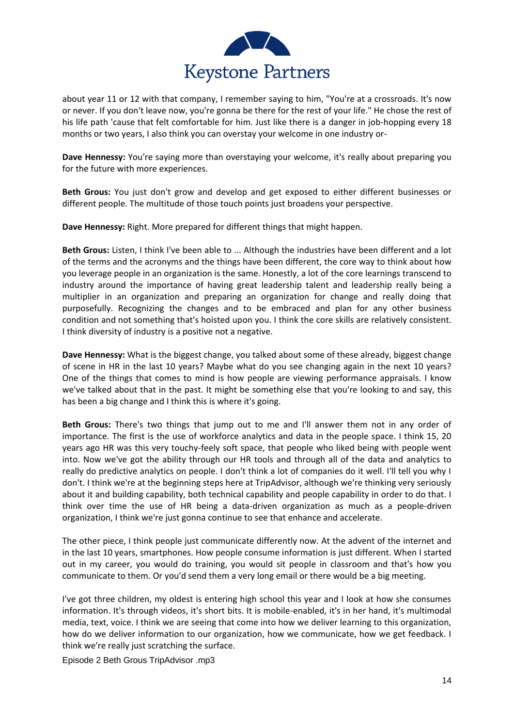

about year 11 or 12 with that company, I remember saying to him, "You're at a crossroads. It's now or never. If you don't leave now, you're gonna be there for the rest of your life." He chose the rest of his life path 'cause that felt comfortable for him. Just like there is a danger in job-hopping every 18 months or two years, I also think you can overstay your welcome in one industry or-

**Dave Hennessy:** You're saying more than overstaying your welcome, it's really about preparing you for the future with more experiences.

**Beth Grous:** You just don't grow and develop and get exposed to either different businesses or different people. The multitude of those touch points just broadens your perspective.

**Dave Hennessy:** Right. More prepared for different things that might happen.

**Beth Grous:** Listen, I think I've been able to ... Although the industries have been different and a lot of the terms and the acronyms and the things have been different, the core way to think about how you leverage people in an organization is the same. Honestly, a lot of the core learnings transcend to industry around the importance of having great leadership talent and leadership really being a multiplier in an organization and preparing an organization for change and really doing that purposefully. Recognizing the changes and to be embraced and plan for any other business condition and not something that's hoisted upon you. I think the core skills are relatively consistent. I think diversity of industry is a positive not a negative.

**Dave Hennessy:** What is the biggest change, you talked about some of these already, biggest change of scene in HR in the last 10 years? Maybe what do you see changing again in the next 10 years? One of the things that comes to mind is how people are viewing performance appraisals. I know we've talked about that in the past. It might be something else that you're looking to and say, this has been a big change and I think this is where it's going.

**Beth Grous:** There's two things that jump out to me and I'll answer them not in any order of importance. The first is the use of workforce analytics and data in the people space. I think 15, 20 years ago HR was this very touchy-feely soft space, that people who liked being with people went into. Now we've got the ability through our HR tools and through all of the data and analytics to really do predictive analytics on people. I don't think a lot of companies do it well. I'll tell you why I don't. I think we're at the beginning steps here at TripAdvisor, although we're thinking very seriously about it and building capability, both technical capability and people capability in order to do that. I think over time the use of HR being a data-driven organization as much as a people-driven organization, I think we're just gonna continue to see that enhance and accelerate.

The other piece, I think people just communicate differently now. At the advent of the internet and in the last 10 years, smartphones. How people consume information is just different. When I started out in my career, you would do training, you would sit people in classroom and that's how you communicate to them. Or you'd send them a very long email or there would be a big meeting.

I've got three children, my oldest is entering high school this year and I look at how she consumes information. It's through videos, it's short bits. It is mobile-enabled, it's in her hand, it's multimodal media, text, voice. I think we are seeing that come into how we deliver learning to this organization, how do we deliver information to our organization, how we communicate, how we get feedback. I think we're really just scratching the surface.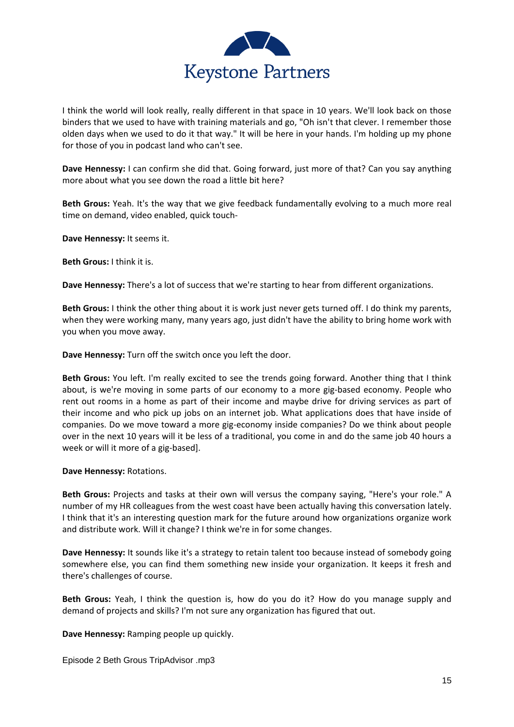

I think the world will look really, really different in that space in 10 years. We'll look back on those binders that we used to have with training materials and go, "Oh isn't that clever. I remember those olden days when we used to do it that way." It will be here in your hands. I'm holding up my phone for those of you in podcast land who can't see.

**Dave Hennessy:** I can confirm she did that. Going forward, just more of that? Can you say anything more about what you see down the road a little bit here?

**Beth Grous:** Yeah. It's the way that we give feedback fundamentally evolving to a much more real time on demand, video enabled, quick touch-

**Dave Hennessy:** It seems it.

**Beth Grous:** I think it is.

**Dave Hennessy:** There's a lot of success that we're starting to hear from different organizations.

**Beth Grous:** I think the other thing about it is work just never gets turned off. I do think my parents, when they were working many, many years ago, just didn't have the ability to bring home work with you when you move away.

**Dave Hennessy:** Turn off the switch once you left the door.

**Beth Grous:** You left. I'm really excited to see the trends going forward. Another thing that I think about, is we're moving in some parts of our economy to a more gig-based economy. People who rent out rooms in a home as part of their income and maybe drive for driving services as part of their income and who pick up jobs on an internet job. What applications does that have inside of companies. Do we move toward a more gig-economy inside companies? Do we think about people over in the next 10 years will it be less of a traditional, you come in and do the same job 40 hours a week or will it more of a gig-based].

**Dave Hennessy:** Rotations.

**Beth Grous:** Projects and tasks at their own will versus the company saying, "Here's your role." A number of my HR colleagues from the west coast have been actually having this conversation lately. I think that it's an interesting question mark for the future around how organizations organize work and distribute work. Will it change? I think we're in for some changes.

**Dave Hennessy:** It sounds like it's a strategy to retain talent too because instead of somebody going somewhere else, you can find them something new inside your organization. It keeps it fresh and there's challenges of course.

**Beth Grous:** Yeah, I think the question is, how do you do it? How do you manage supply and demand of projects and skills? I'm not sure any organization has figured that out.

**Dave Hennessy:** Ramping people up quickly.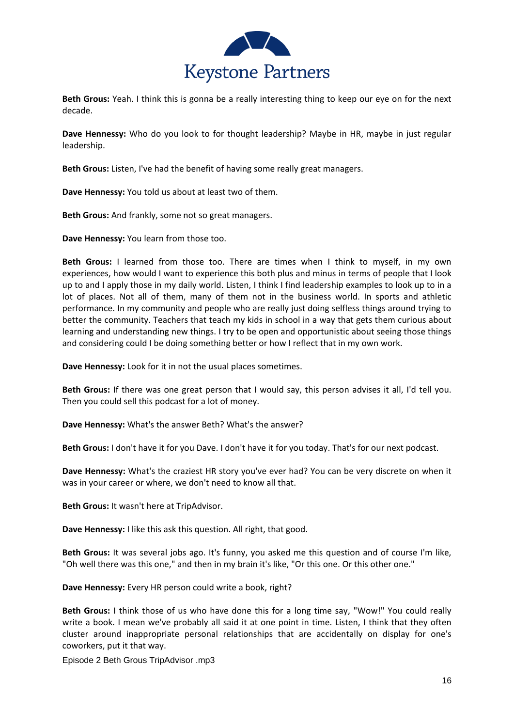

**Beth Grous:** Yeah. I think this is gonna be a really interesting thing to keep our eye on for the next decade.

**Dave Hennessy:** Who do you look to for thought leadership? Maybe in HR, maybe in just regular leadership.

**Beth Grous:** Listen, I've had the benefit of having some really great managers.

**Dave Hennessy:** You told us about at least two of them.

**Beth Grous:** And frankly, some not so great managers.

**Dave Hennessy:** You learn from those too.

**Beth Grous:** I learned from those too. There are times when I think to myself, in my own experiences, how would I want to experience this both plus and minus in terms of people that I look up to and I apply those in my daily world. Listen, I think I find leadership examples to look up to in a lot of places. Not all of them, many of them not in the business world. In sports and athletic performance. In my community and people who are really just doing selfless things around trying to better the community. Teachers that teach my kids in school in a way that gets them curious about learning and understanding new things. I try to be open and opportunistic about seeing those things and considering could I be doing something better or how I reflect that in my own work.

**Dave Hennessy:** Look for it in not the usual places sometimes.

**Beth Grous:** If there was one great person that I would say, this person advises it all, I'd tell you. Then you could sell this podcast for a lot of money.

**Dave Hennessy:** What's the answer Beth? What's the answer?

**Beth Grous:** I don't have it for you Dave. I don't have it for you today. That's for our next podcast.

**Dave Hennessy:** What's the craziest HR story you've ever had? You can be very discrete on when it was in your career or where, we don't need to know all that.

**Beth Grous:** It wasn't here at TripAdvisor.

**Dave Hennessy:** I like this ask this question. All right, that good.

**Beth Grous:** It was several jobs ago. It's funny, you asked me this question and of course I'm like, "Oh well there was this one," and then in my brain it's like, "Or this one. Or this other one."

**Dave Hennessy:** Every HR person could write a book, right?

**Beth Grous:** I think those of us who have done this for a long time say, "Wow!" You could really write a book. I mean we've probably all said it at one point in time. Listen, I think that they often cluster around inappropriate personal relationships that are accidentally on display for one's coworkers, put it that way.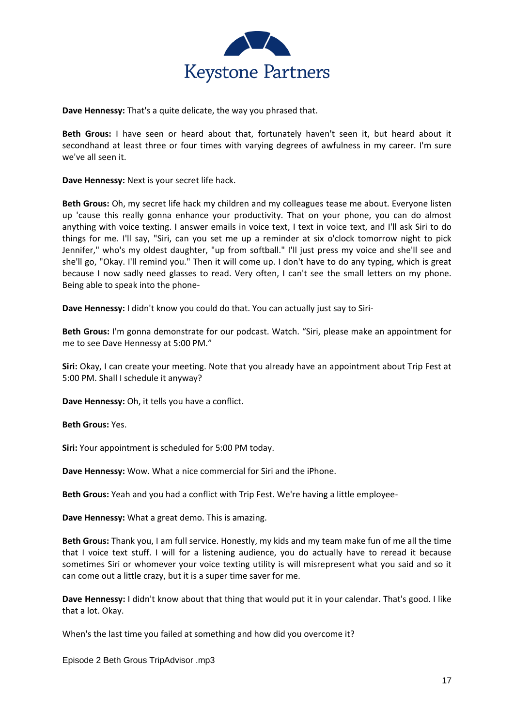

**Dave Hennessy:** That's a quite delicate, the way you phrased that.

**Beth Grous:** I have seen or heard about that, fortunately haven't seen it, but heard about it secondhand at least three or four times with varying degrees of awfulness in my career. I'm sure we've all seen it.

**Dave Hennessy:** Next is your secret life hack.

**Beth Grous:** Oh, my secret life hack my children and my colleagues tease me about. Everyone listen up 'cause this really gonna enhance your productivity. That on your phone, you can do almost anything with voice texting. I answer emails in voice text, I text in voice text, and I'll ask Siri to do things for me. I'll say, "Siri, can you set me up a reminder at six o'clock tomorrow night to pick Jennifer," who's my oldest daughter, "up from softball." I'll just press my voice and she'll see and she'll go, "Okay. I'll remind you." Then it will come up. I don't have to do any typing, which is great because I now sadly need glasses to read. Very often, I can't see the small letters on my phone. Being able to speak into the phone-

**Dave Hennessy:** I didn't know you could do that. You can actually just say to Siri-

**Beth Grous:** I'm gonna demonstrate for our podcast. Watch. "Siri, please make an appointment for me to see Dave Hennessy at 5:00 PM."

**Siri:** Okay, I can create your meeting. Note that you already have an appointment about Trip Fest at 5:00 PM. Shall I schedule it anyway?

**Dave Hennessy:** Oh, it tells you have a conflict.

**Beth Grous:** Yes.

**Siri:** Your appointment is scheduled for 5:00 PM today.

**Dave Hennessy:** Wow. What a nice commercial for Siri and the iPhone.

**Beth Grous:** Yeah and you had a conflict with Trip Fest. We're having a little employee-

**Dave Hennessy:** What a great demo. This is amazing.

**Beth Grous:** Thank you, I am full service. Honestly, my kids and my team make fun of me all the time that I voice text stuff. I will for a listening audience, you do actually have to reread it because sometimes Siri or whomever your voice texting utility is will misrepresent what you said and so it can come out a little crazy, but it is a super time saver for me.

**Dave Hennessy:** I didn't know about that thing that would put it in your calendar. That's good. I like that a lot. Okay.

When's the last time you failed at something and how did you overcome it?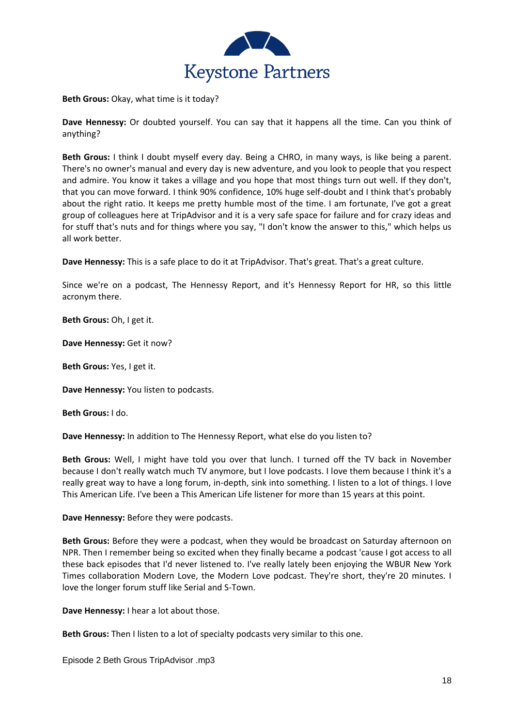

**Beth Grous:** Okay, what time is it today?

**Dave Hennessy:** Or doubted yourself. You can say that it happens all the time. Can you think of anything?

**Beth Grous:** I think I doubt myself every day. Being a CHRO, in many ways, is like being a parent. There's no owner's manual and every day is new adventure, and you look to people that you respect and admire. You know it takes a village and you hope that most things turn out well. If they don't, that you can move forward. I think 90% confidence, 10% huge self-doubt and I think that's probably about the right ratio. It keeps me pretty humble most of the time. I am fortunate, I've got a great group of colleagues here at TripAdvisor and it is a very safe space for failure and for crazy ideas and for stuff that's nuts and for things where you say, "I don't know the answer to this," which helps us all work better.

**Dave Hennessy:** This is a safe place to do it at TripAdvisor. That's great. That's a great culture.

Since we're on a podcast, The Hennessy Report, and it's Hennessy Report for HR, so this little acronym there.

**Beth Grous:** Oh, I get it.

**Dave Hennessy:** Get it now?

**Beth Grous:** Yes, I get it.

**Dave Hennessy:** You listen to podcasts.

**Beth Grous:** I do.

**Dave Hennessy:** In addition to The Hennessy Report, what else do you listen to?

**Beth Grous:** Well, I might have told you over that lunch. I turned off the TV back in November because I don't really watch much TV anymore, but I love podcasts. I love them because I think it's a really great way to have a long forum, in-depth, sink into something. I listen to a lot of things. I love This American Life. I've been a This American Life listener for more than 15 years at this point.

**Dave Hennessy:** Before they were podcasts.

**Beth Grous:** Before they were a podcast, when they would be broadcast on Saturday afternoon on NPR. Then I remember being so excited when they finally became a podcast 'cause I got access to all these back episodes that I'd never listened to. I've really lately been enjoying the WBUR New York Times collaboration Modern Love, the Modern Love podcast. They're short, they're 20 minutes. I love the longer forum stuff like Serial and S-Town.

**Dave Hennessy:** I hear a lot about those.

**Beth Grous:** Then I listen to a lot of specialty podcasts very similar to this one.